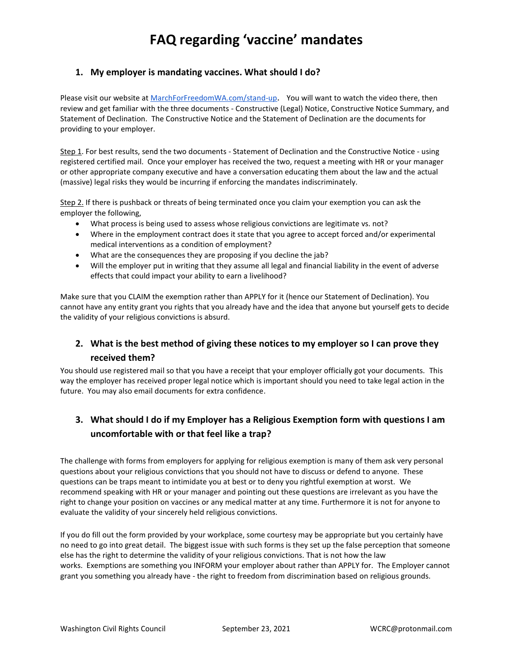## **1. My employer is mandating vaccines. What should I do?**

Please visit our website at [MarchForFreedomWA.com/stand-up](http://marchforfreedomwa.com/stand-up). You will want to watch the video there, then review and get familiar with the three documents - Constructive (Legal) Notice, Constructive Notice Summary, and Statement of Declination. The Constructive Notice and the Statement of Declination are the documents for providing to your employer.

Step 1. For best results, send the two documents - Statement of Declination and the Constructive Notice - using registered certified mail. Once your employer has received the two, request a meeting with HR or your manager or other appropriate company executive and have a conversation educating them about the law and the actual (massive) legal risks they would be incurring if enforcing the mandates indiscriminately.

Step 2. If there is pushback or threats of being terminated once you claim your exemption you can ask the employer the following,

- What process is being used to assess whose religious convictions are legitimate vs. not?
- Where in the employment contract does it state that you agree to accept forced and/or experimental medical interventions as a condition of employment?
- What are the consequences they are proposing if you decline the jab?
- Will the employer put in writing that they assume all legal and financial liability in the event of adverse effects that could impact your ability to earn a livelihood?

Make sure that you CLAIM the exemption rather than APPLY for it (hence our Statement of Declination). You cannot have any entity grant you rights that you already have and the idea that anyone but yourself gets to decide the validity of your religious convictions is absurd.

# **2. What is the best method of giving these notices to my employer so I can prove they received them?**

You should use registered mail so that you have a receipt that your employer officially got your documents. This way the employer has received proper legal notice which is important should you need to take legal action in the future. You may also email documents for extra confidence.

# **3. What should I do if my Employer has a Religious Exemption form with questions I am uncomfortable with or that feel like a trap?**

The challenge with forms from employers for applying for religious exemption is many of them ask very personal questions about your religious convictions that you should not have to discuss or defend to anyone. These questions can be traps meant to intimidate you at best or to deny you rightful exemption at worst. We recommend speaking with HR or your manager and pointing out these questions are irrelevant as you have the right to change your position on vaccines or any medical matter at any time. Furthermore it is not for anyone to evaluate the validity of your sincerely held religious convictions.

If you do fill out the form provided by your workplace, some courtesy may be appropriate but you certainly have no need to go into great detail. The biggest issue with such forms is they set up the false perception that someone else has the right to determine the validity of your religious convictions. That is not how the law works. Exemptions are something you INFORM your employer about rather than APPLY for. The Employer cannot grant you something you already have - the right to freedom from discrimination based on religious grounds.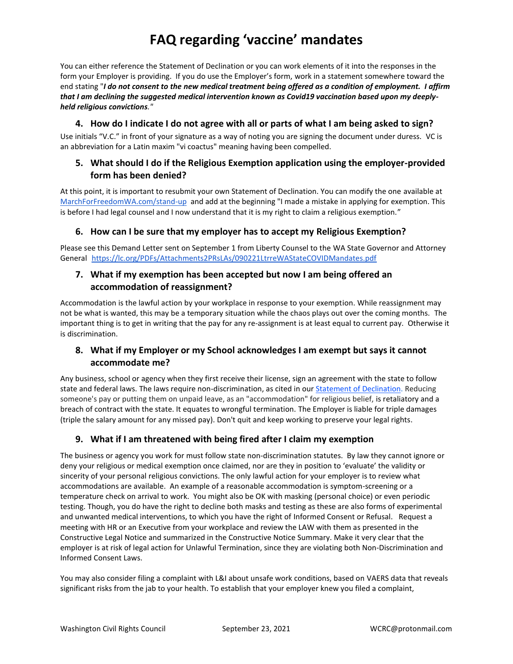You can either reference the Statement of Declination or you can work elements of it into the responses in the form your Employer is providing. If you do use the Employer's form, work in a statement somewhere toward the end stating "*I do not consent to the new medical treatment being offered as a condition of employment. I affirm that I am declining the suggested medical intervention known as Covid19 vaccination based upon my deeplyheld religious convictions."*

### **4. How do I indicate I do not agree with all or parts of what I am being asked to sign?**

Use initials "V.C." in front of your signature as a way of noting you are signing the document under duress. VC is an abbreviation for a Latin maxim "vi coactus" meaning having been compelled.

## **5. What should I do if the Religious Exemption application using the employer-provided form has been denied?**

At this point, it is important to resubmit your own Statement of Declination. You can modify the one available a[t](http://marchforfreedomwa.com/stand-up) [MarchForFreedomWA.com/stand-up](http://marchforfreedomwa.com/stand-up) and add at the beginning "I made a mistake in applying for exemption. This is before I had legal counsel and I now understand that it is my right to claim a religious exemption."

## **6. How can I be sure that my employer has to accept my Religious Exemption?**

Please see this Demand Letter sent on September 1 from Liberty Counsel to the WA State Governor and Attorney General <https://lc.org/PDFs/Attachments2PRsLAs/090221LtrreWAStateCOVIDMandates.pdf>

## **7. What if my exemption has been accepted but now I am being offered an accommodation of reassignment?**

Accommodation is the lawful action by your workplace in response to your exemption. While reassignment may not be what is wanted, this may be a temporary situation while the chaos plays out over the coming months. The important thing is to get in writing that the pay for any re-assignment is at least equal to current pay. Otherwise it is discrimination.

# **8. What if my Employer or my School acknowledges I am exempt but says it cannot accommodate me?**

Any business, school or agency when they first receive their license, sign an agreement with the state to follow state and federal laws. The laws require non-discrimination, as cited in our [Statement of Declination.](https://sendfox.com/trk/click/9xz74rjp/6k9qke) Reducing someone's pay or putting them on unpaid leave, as an "accommodation" for religious belief, is retaliatory and a breach of contract with the state. It equates to wrongful termination. The Employer is liable for triple damages (triple the salary amount for any missed pay). Don't quit and keep working to preserve your legal rights.

# **9. What if I am threatened with being fired after I claim my exemption**

The business or agency you work for must follow state non-discrimination statutes. By law they cannot ignore or deny your religious or medical exemption once claimed, nor are they in position to 'evaluate' the validity or sincerity of your personal religious convictions. The only lawful action for your employer is to review what accommodations are available. An example of a reasonable accommodation is symptom-screening or a temperature check on arrival to work. You might also be OK with masking (personal choice) or even periodic testing. Though, you do have the right to decline both masks and testing as these are also forms of experimental and unwanted medical interventions, to which you have the right of Informed Consent or Refusal. Request a meeting with HR or an Executive from your workplace and review the LAW with them as presented in the Constructive Legal Notice and summarized in the Constructive Notice Summary. Make it very clear that the employer is at risk of legal action for Unlawful Termination, since they are violating both Non-Discrimination and Informed Consent Laws.

You may also consider filing a complaint with L&I about unsafe work conditions, based on VAERS data that reveals significant risks from the jab to your health. To establish that your employer knew you filed a complaint,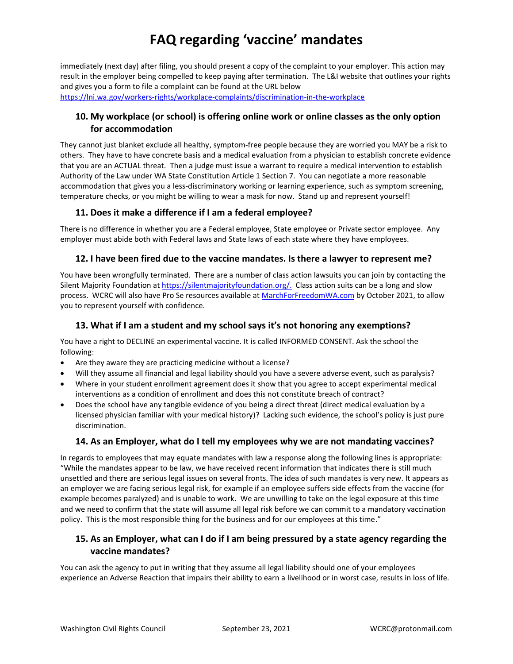immediately (next day) after filing, you should present a copy of the complaint to your employer. This action may result in the employer being compelled to keep paying after termination. The L&I website that outlines your rights and gives you a form to file a complaint can be found at the URL below <https://lni.wa.gov/workers-rights/workplace-complaints/discrimination-in-the-workplace>

# **10. My workplace (or school) is offering online work or online classes as the only option for accommodation**

They cannot just blanket exclude all healthy, symptom-free people because they are worried you MAY be a risk to others. They have to have concrete basis and a medical evaluation from a physician to establish concrete evidence that you are an ACTUAL threat. Then a judge must issue a warrant to require a medical intervention to establish Authority of the Law under WA State Constitution Article 1 Section 7. You can negotiate a more reasonable accommodation that gives you a less-discriminatory working or learning experience, such as symptom screening, temperature checks, or you might be willing to wear a mask for now. Stand up and represent yourself!

# **11. Does it make a difference if I am a federal employee?**

There is no difference in whether you are a Federal employee, State employee or Private sector employee. Any employer must abide both with Federal laws and State laws of each state where they have employees.

#### **12. I have been fired due to the vaccine mandates. Is there a lawyer to represent me?**

You have been wrongfully terminated. There are a number of class action lawsuits you can join by contacting the Silent Majority Foundation at [https://silentmajorityfoundation.org/.](https://silentmajorityfoundation.org/) Class action suits can be a long and slow process. WCRC will also have Pro Se resources available a[t MarchForFreedomWA.com](Marchforfreedomwa.com) by October 2021, to allow you to represent yourself with confidence.

## **13. What if I am a student and my school says it's not honoring any exemptions?**

You have a right to DECLINE an experimental vaccine. It is called INFORMED CONSENT. Ask the school the following:

- Are they aware they are practicing medicine without a license?
- Will they assume all financial and legal liability should you have a severe adverse event, such as paralysis?
- Where in your student enrollment agreement does it show that you agree to accept experimental medical interventions as a condition of enrollment and does this not constitute breach of contract?
- Does the school have any tangible evidence of you being a direct threat (direct medical evaluation by a licensed physician familiar with your medical history)? Lacking such evidence, the school's policy is just pure discrimination.

#### **14. As an Employer, what do I tell my employees why we are not mandating vaccines?**

In regards to employees that may equate mandates with law a response along the following lines is appropriate: "While the mandates appear to be law, we have received recent information that indicates there is still much unsettled and there are serious legal issues on several fronts. The idea of such mandates is very new. It appears as an employer we are facing serious legal risk, for example if an employee suffers side effects from the vaccine (for example becomes paralyzed) and is unable to work. We are unwilling to take on the legal exposure at this time and we need to confirm that the state will assume all legal risk before we can commit to a mandatory vaccination policy. This is the most responsible thing for the business and for our employees at this time."

# **15. As an Employer, what can I do if I am being pressured by a state agency regarding the vaccine mandates?**

You can ask the agency to put in writing that they assume all legal liability should one of your employees experience an Adverse Reaction that impairs their ability to earn a livelihood or in worst case, results in loss of life.